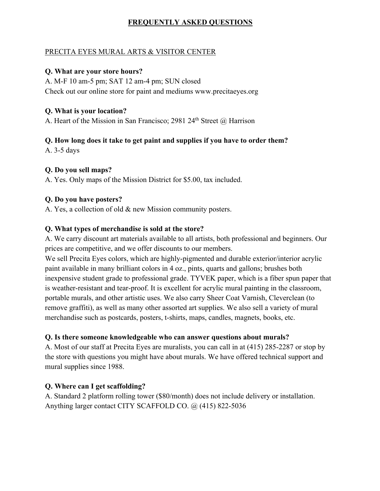# **FREQUENTLY ASKED QUESTIONS**

#### PRECITA EYES MURAL ARTS & VISITOR CENTER

#### **Q. What are your store hours?**

A. M-F 10 am-5 pm; SAT 12 am-4 pm; SUN closed Check out our online store for paint and mediums www.precitaeyes.org

### **Q. What is your location?**

A. Heart of the Mission in San Francisco; 2981 24<sup>th</sup> Street @ Harrison

# **Q. How long does it take to get paint and supplies if you have to order them?**

A. 3-5 days

# **Q. Do you sell maps?**

A. Yes. Only maps of the Mission District for \$5.00, tax included.

#### **Q. Do you have posters?**

A. Yes, a collection of old & new Mission community posters.

# **Q. What types of merchandise is sold at the store?**

A. We carry discount art materials available to all artists, both professional and beginners. Our prices are competitive, and we offer discounts to our members.

We sell Precita Eyes colors, which are highly-pigmented and durable exterior/interior acrylic paint available in many brilliant colors in 4 oz., pints, quarts and gallons; brushes both inexpensive student grade to professional grade. TYVEK paper, which is a fiber spun paper that is weather-resistant and tear-proof. It is excellent for acrylic mural painting in the classroom, portable murals, and other artistic uses. We also carry Sheer Coat Varnish, Cleverclean (to remove graffiti), as well as many other assorted art supplies. We also sell a variety of mural merchandise such as postcards, posters, t-shirts, maps, candles, magnets, books, etc.

# **Q. Is there someone knowledgeable who can answer questions about murals?**

A. Most of our staff at Precita Eyes are muralists, you can call in at (415) 285-2287 or stop by the store with questions you might have about murals. We have offered technical support and mural supplies since 1988.

# **Q. Where can I get scaffolding?**

A. Standard 2 platform rolling tower (\$80/month) does not include delivery or installation. Anything larger contact CITY SCAFFOLD CO. @ (415) 822-5036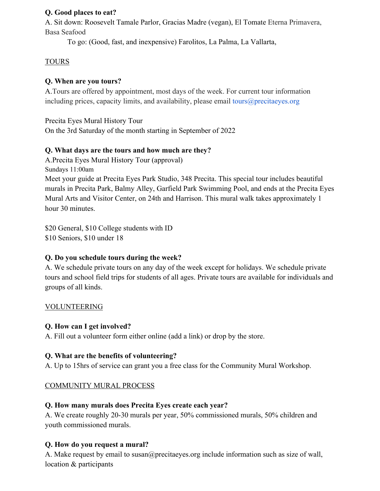### **Q. Good places to eat?**

A. Sit down: Roosevelt Tamale Parlor, Gracias Madre (vegan), El Tomate Eterna Primavera, Basa Seafood

To go: (Good, fast, and inexpensive) Farolitos, La Palma, La Vallarta,

# TOURS

# **Q. When are you tours?**

A.Tours are offered by appointment, most days of the week. For current tour information including prices, capacity limits, and availability, please email tours $@$  precitaeyes.org

Precita Eyes Mural History Tour On the 3rd Saturday of the month starting in September of 2022

# **Q. What days are the tours and how much are they?**

A.Precita Eyes Mural History Tour (approval) Sundays 11:00am Meet your guide at Precita Eyes Park Studio, 348 Precita. This special tour includes beautiful murals in Precita Park, Balmy Alley, Garfield Park Swimming Pool, and ends at the Precita Eyes Mural Arts and Visitor Center, on 24th and Harrison. This mural walk takes approximately 1 hour 30 minutes.

\$20 General, \$10 College students with ID \$10 Seniors, \$10 under 18

# **Q. Do you schedule tours during the week?**

A. We schedule private tours on any day of the week except for holidays. We schedule private tours and school field trips for students of all ages. Private tours are available for individuals and groups of all kinds.

# VOLUNTEERING

# **Q. How can I get involved?**

A. Fill out a volunteer form either online (add a link) or drop by the store.

# **Q. What are the benefits of volunteering?**

A. Up to 15hrs of service can grant you a free class for the Community Mural Workshop.

# COMMUNITY MURAL PROCESS

# **Q. How many murals does Precita Eyes create each year?**

A. We create roughly 20-30 murals per year, 50% commissioned murals, 50% children and youth commissioned murals.

# **Q. How do you request a mural?**

A. Make request by email to susan@precitaeyes.org include information such as size of wall, location & participants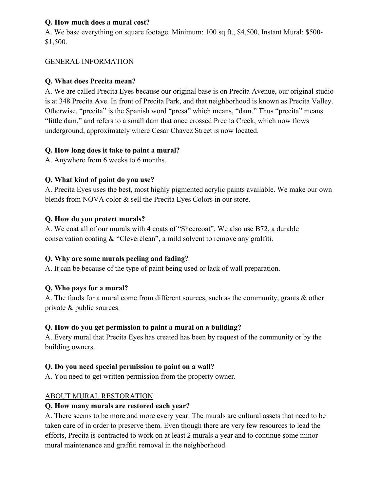### **Q. How much does a mural cost?**

A. We base everything on square footage. Minimum: 100 sq ft., \$4,500. Instant Mural: \$500- \$1,500.

#### GENERAL INFORMATION

#### **Q. What does Precita mean?**

A. We are called Precita Eyes because our original base is on Precita Avenue, our original studio is at 348 Precita Ave. In front of Precita Park, and that neighborhood is known as Precita Valley. Otherwise, "precita" is the Spanish word "presa" which means, "dam." Thus "precita" means "little dam," and refers to a small dam that once crossed Precita Creek, which now flows underground, approximately where Cesar Chavez Street is now located.

#### **Q. How long does it take to paint a mural?**

A. Anywhere from 6 weeks to 6 months.

#### **Q. What kind of paint do you use?**

A. Precita Eyes uses the best, most highly pigmented acrylic paints available. We make our own blends from NOVA color & sell the Precita Eyes Colors in our store.

#### **Q. How do you protect murals?**

A. We coat all of our murals with 4 coats of "Sheercoat". We also use B72, a durable conservation coating & "Cleverclean", a mild solvent to remove any graffiti.

# **Q. Why are some murals peeling and fading?**

A. It can be because of the type of paint being used or lack of wall preparation.

# **Q. Who pays for a mural?**

A. The funds for a mural come from different sources, such as the community, grants & other private & public sources.

# **Q. How do you get permission to paint a mural on a building?**

A. Every mural that Precita Eyes has created has been by request of the community or by the building owners.

# **Q. Do you need special permission to paint on a wall?**

A. You need to get written permission from the property owner.

# ABOUT MURAL RESTORATION

#### **Q. How many murals are restored each year?**

A. There seems to be more and more every year. The murals are cultural assets that need to be taken care of in order to preserve them. Even though there are very few resources to lead the efforts, Precita is contracted to work on at least 2 murals a year and to continue some minor mural maintenance and graffiti removal in the neighborhood.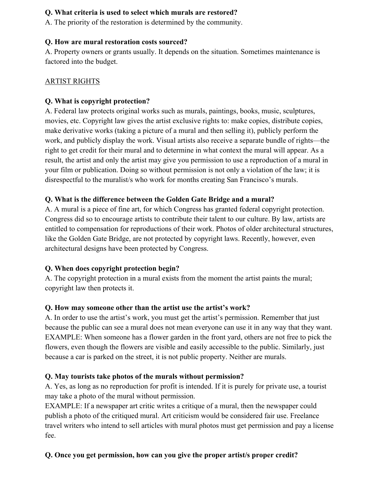# **Q. What criteria is used to select which murals are restored?**

A. The priority of the restoration is determined by the community.

#### **Q. How are mural restoration costs sourced?**

A. Property owners or grants usually. It depends on the situation. Sometimes maintenance is factored into the budget.

### ARTIST RIGHTS

# **Q. What is copyright protection?**

A. Federal law protects original works such as murals, paintings, books, music, sculptures, movies, etc. Copyright law gives the artist exclusive rights to: make copies, distribute copies, make derivative works (taking a picture of a mural and then selling it), publicly perform the work, and publicly display the work. Visual artists also receive a separate bundle of rights—the right to get credit for their mural and to determine in what context the mural will appear. As a result, the artist and only the artist may give you permission to use a reproduction of a mural in your film or publication. Doing so without permission is not only a violation of the law; it is disrespectful to the muralist/s who work for months creating San Francisco's murals.

# **Q. What is the difference between the Golden Gate Bridge and a mural?**

A. A mural is a piece of fine art, for which Congress has granted federal copyright protection. Congress did so to encourage artists to contribute their talent to our culture. By law, artists are entitled to compensation for reproductions of their work. Photos of older architectural structures, like the Golden Gate Bridge, are not protected by copyright laws. Recently, however, even architectural designs have been protected by Congress.

# **Q. When does copyright protection begin?**

A. The copyright protection in a mural exists from the moment the artist paints the mural; copyright law then protects it.

# **Q. How may someone other than the artist use the artist's work?**

A. In order to use the artist's work, you must get the artist's permission. Remember that just because the public can see a mural does not mean everyone can use it in any way that they want. EXAMPLE: When someone has a flower garden in the front yard, others are not free to pick the flowers, even though the flowers are visible and easily accessible to the public. Similarly, just because a car is parked on the street, it is not public property. Neither are murals.

# **Q. May tourists take photos of the murals without permission?**

A. Yes, as long as no reproduction for profit is intended. If it is purely for private use, a tourist may take a photo of the mural without permission.

EXAMPLE: If a newspaper art critic writes a critique of a mural, then the newspaper could publish a photo of the critiqued mural. Art criticism would be considered fair use. Freelance travel writers who intend to sell articles with mural photos must get permission and pay a license fee.

# **Q. Once you get permission, how can you give the proper artist/s proper credit?**